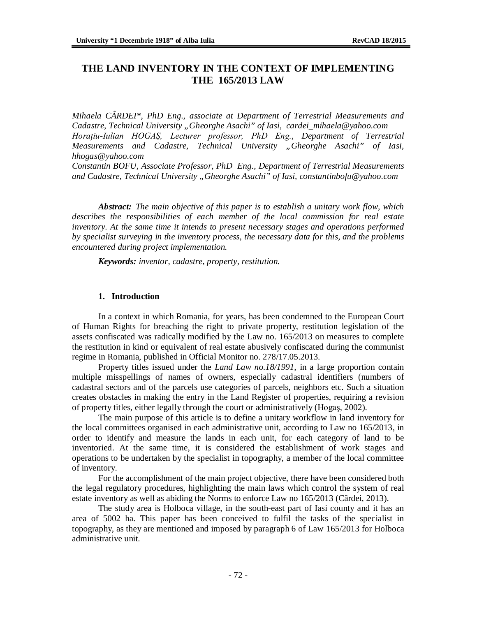# **THE LAND INVENTORY IN THE CONTEXT OF IMPLEMENTING THE 165/2013 LAW**

*Mihaela CÂRDEI\*, PhD Eng., associate at Department of Terrestrial Measurements and Cadastre, Technical University "Gheorghe Asachi" of Iasi, [cardei\\_mihaela@yahoo.com](mailto:cardei_mihaela@yahoo.com) Horaţiu-Iulian HOGAŞ, Lecturer professor, PhD Eng., Department of Terrestrial Measurements and Cadastre, Technical University "Gheorghe Asachi" of Iasi, [hhogas@yahoo.com](mailto:hhogas@yahoo.com)*

*Constantin BOFU, Associate Professor, PhD Eng., Department of Terrestrial Measurements and Cadastre, Technical University "Gheorghe Asachi" of Iasi, [constantinbofu@yahoo.com](mailto:constantinbofu@yahoo.com)*

*Abstract: The main objective of this paper is to establish a unitary work flow, which describes the responsibilities of each member of the local commission for real estate inventory. At the same time it intends to present necessary stages and operations performed by specialist surveying in the inventory process, the necessary data for this, and the problems encountered during project implementation.*

*Keywords: inventor, cadastre, property, restitution.*

### **1. Introduction**

In a context in which Romania, for years, has been condemned to the European Court of Human Rights for breaching the right to private property, restitution legislation of the assets confiscated was radically modified by the Law no. 165/2013 on measures to complete the restitution in kind or equivalent of real estate abusively confiscated during the communist regime in Romania, published in Official Monitor no. 278/17.05.2013.

Property titles issued under the *Land Law no.18/1991,* in a large proportion contain multiple misspellings of names of owners, especially cadastral identifiers (numbers of cadastral sectors and of the parcels use categories of parcels, neighbors etc. Such a situation creates obstacles in making the entry in the Land Register of properties, requiring a revision of property titles, either legally through the court or administratively (Hogaş, 2002).

The main purpose of this article is to define a unitary workflow in land inventory for the local committees organised in each administrative unit, according to Law no 165/2013, in order to identify and measure the lands in each unit, for each category of land to be inventoried. At the same time, it is considered the establishment of work stages and operations to be undertaken by the specialist in topography, a member of the local committee of inventory.

For the accomplishment of the main project objective, there have been considered both the legal regulatory procedures, highlighting the main laws which control the system of real estate inventory as well as abiding the Norms to enforce Law no 165/2013 (Cârdei, 2013).

The study area is Holboca village, in the south-east part of Iasi county and it has an area of 5002 ha. This paper has been conceived to fulfil the tasks of the specialist in topography, as they are mentioned and imposed by paragraph 6 of Law 165/2013 for Holboca administrative unit.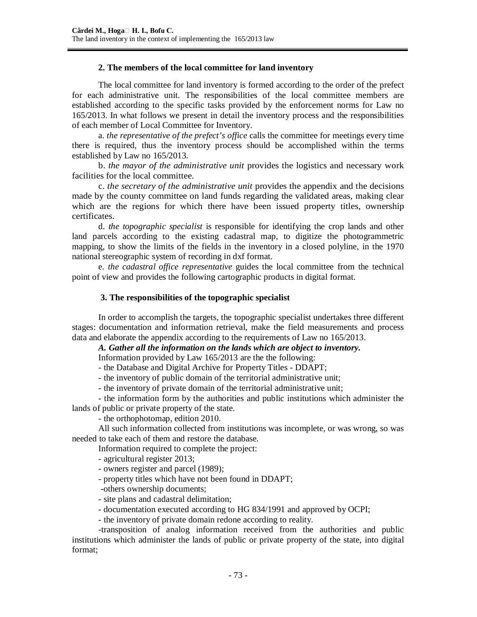### **2. The members of the local committee for land inventory**

The local committee for land inventory is formed according to the order of the prefect for each administrative unit. The responsibilities of the local committee members are established according to the specific tasks provided by the enforcement norms for Law no 165/2013. In what follows we present in detail the inventory process and the responsibilities of each member of Local Committee for Inventory.

a. *the representative of the prefect's office* calls the committee for meetings every time there is required, thus the inventory process should be accomplished within the terms established by Law no 165/2013.

b. *the mayor of the administrative unit* provides the logistics and necessary work facilities for the local committee.

c. *the secretary of the administrative unit* provides the appendix and the decisions made by the county committee on land funds regarding the validated areas, making clear which are the regions for which there have been issued property titles, ownership certificates.

d. *the topographic specialist* is responsible for identifying the crop lands and other land parcels according to the existing cadastral map, to digitize the photogrammetric mapping, to show the limits of the fields in the inventory in a closed polyline, in the 1970 national stereographic system of recording in dxf format.

e. *the cadastral office representative* guides the local committee from the technical point of view and provides the following cartographic products in digital format.

### **3. The responsibilities of the topographic specialist**

In order to accomplish the targets, the topographic specialist undertakes three different stages: documentation and information retrieval, make the field measurements and process data and elaborate the appendix according to the requirements of Law no 165/2013.

*A. Gather all the information on the lands which are object to inventory.* 

Information provided by Law 165/2013 are the the following:

- the Database and Digital Archive for Property Titles - DDAPT;

- the inventory of public domain of the territorial administrative unit;

- the inventory of private domain of the territorial administrative unit;

- the information form by the authorities and public institutions which administer the lands of public or private property of the state.

- the orthophotomap, edition 2010.

All such information collected from institutions was incomplete, or was wrong, so was needed to take each of them and restore the database.

Information required to complete the project:

- agricultural register 2013;
- owners register and parcel (1989);
- property titles which have not been found in DDAPT;
- -others ownership documents;
- site plans and cadastral delimitation;
- documentation executed according to HG 834/1991 and approved by OCPI;
- the inventory of private domain redone according to reality.

-transposition of analog information received from the authorities and public institutions which administer the lands of public or private property of the state, into digital format;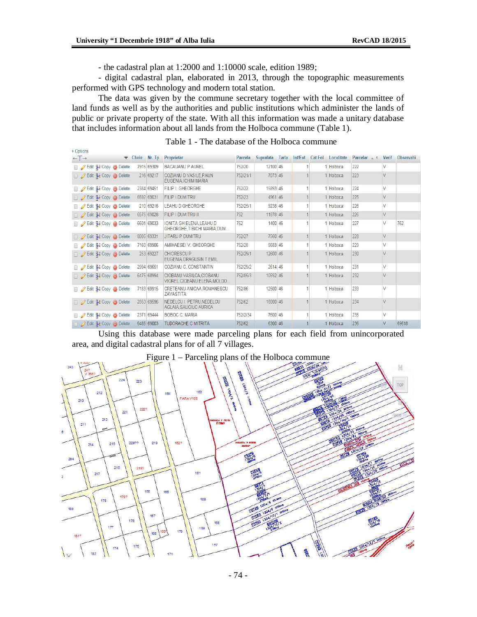a la

- the cadastral plan at 1:2000 and 1:10000 scale, edition 1989;

- digital cadastral plan, elaborated in 2013, through the topographic measurements performed with GPS technology and modern total station.

The data was given by the commune secretary together with the local committee of land funds as well as by the authorities and public institutions which administer the lands of public or private property of the state. With all this information was made a unitary database that includes information about all lands from the Holboca commune (Table 1).

| $+T$ |                                                 | $\blacktriangledown$ Cheie | Nr. Tp     | Proprietar                                                   | Parcela  | Suprafata | Tarla | Int/Ext | Cat Fol | Localitate | Parcelar $\approx$ 1 | Verif  | Observatii |
|------|-------------------------------------------------|----------------------------|------------|--------------------------------------------------------------|----------|-----------|-------|---------|---------|------------|----------------------|--------|------------|
|      | Edit 3-i Copy @ Delete                          |                            | 7915 69309 | <b>BACAUANU P AUREL</b>                                      | 752/20   | 12100 46  |       |         |         | Holboca    | 222                  | V      |            |
|      | Edit 3- Copy O Delete                           |                            | 216 69217  | COZIANU D VASILE PAUN<br>EUGENIA.ICHIM MARIA                 | 752/21/1 | 7073 46   |       |         |         | 1 Holboca  | 223                  | V      |            |
|      | Edit 3-i Copy @ Delete                          |                            | 2384 69451 | FILIP I. GHEORGHE                                            | 752/22   | 15893 46  |       |         |         | Holboca    | 224                  | V      |            |
|      | Edit 3-i Copy O Delete                          |                            | 6592 69031 | FILIP I DUMITRU                                              | 752/23   | 4961 46   |       |         |         | 1 Holboca  | 225                  | V      |            |
|      | Edit <b>3-i</b> Copy <b>O</b> Delete            |                            | 210 69216  | <b>LEAHU D GHEORGHE</b>                                      | 752/25/1 | 9238 46   |       |         |         | Holboca    | 226                  | V      |            |
|      | Edit 3-i Copy O Delete                          |                            | 6575 69028 | FILIP   DUMITRU II                                           | 752      | 11878 46  |       |         |         | 1 Holboca  | 226                  | V      |            |
|      | Edit <b>3.</b> Copy <b>O</b> Delete             |                            | 6601 69033 | <b>IONITA GH ELENA LEAHU D</b><br>GHEORGHE.TIBICHI MARIA.DUM | 752      | 1400 46   |       |         |         | Holboca    | 227                  | V      | 762        |
|      | Edit 3 Copy O Delete                            |                            | 8005 69331 | <b>JITARU P DUMITRU</b>                                      | 752/27   | 7560 46   |       |         |         | 1 Holboca  | 228                  | $\vee$ |            |
|      | Edit 3-i Copy @ Delete                          |                            | 7160 69906 | AMIHAESEI V. GHEORGHE                                        | 752/28   | 5683 46   |       |         |         | Holboca    | 229                  | V      |            |
|      | Edit 3- Copy O Delete                           |                            | 253 69227  | CHIORESCU P<br>EUGENIA, DRAGUSIN T EMIL                      | 752/29/1 | 12600 46  |       |         |         | 1 Holboca  | 230                  | $\vee$ |            |
|      | Edit 3 Copy @ Delete                            |                            | 2994 69651 | COZIANU C. CONSTANTIN                                        | 752/29/2 | 2614 46   |       |         |         | Holboca    | 231                  | V      |            |
|      | Edit <b>3.</b> Copy O Delete                    |                            | 6475 68994 | CIOBANU VASILCA.CIOBANU<br>VIOREL CIOBANU ELENA.MOLDO        | 752/85/3 | 10592 46  |       |         |         | 1 Holboca  | 232                  | V      |            |
|      | Edit 3-i Copy @ Delete                          |                            | 7183 69915 | CRETEANU ANICAA.ROMANESCU<br>ZAVASTITA                       | 752/86   | 12500 46  |       |         |         | Holboca    | 233                  | V      |            |
|      | □ <b><i>D</i></b> Edit <b>3-i</b> Copy ● Delete |                            | 2853 69596 | NEDELCU I. PETRU NEDELCU<br>AGLAIA SAUCIUC AURICA            | 752/62   | 18000 46  |       |         |         | 1 Holboca  | 234                  | $\vee$ |            |
|      | Edit 3. Copy O Delete                           | 2371                       | 69444      | <b>BOBOC C. MARIA</b>                                        | 752/2/34 | 7600 46   |       |         |         | Holboca    | 235                  | V      |            |
|      | Edit 3 Copy O Delete                            |                            | 6485 69003 | <b>TUDORACHE C MITRITA</b>                                   | 752/62   | 6300 46   |       |         |         | 1 Holboca  | 236                  | V      | 69618      |

#### Table 1 - The database of the Holboca commune

Using this database were made parceling plans for each field from unincorporated area, and digital cadastral plans for of all 7 villages.

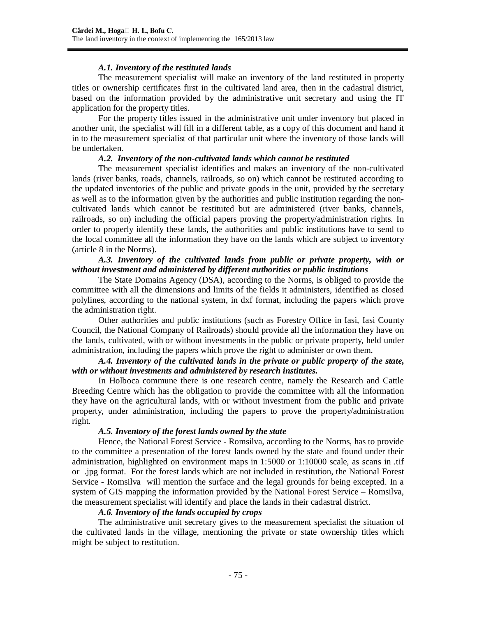### *A.1. Inventory of the restituted lands*

The measurement specialist will make an inventory of the land restituted in property titles or ownership certificates first in the cultivated land area, then in the cadastral district, based on the information provided by the administrative unit secretary and using the IT application for the property titles.

For the property titles issued in the administrative unit under inventory but placed in another unit, the specialist will fill in a different table, as a copy of this document and hand it in to the measurement specialist of that particular unit where the inventory of those lands will be undertaken.

### *A.2. Inventory of the non-cultivated lands which cannot be restituted*

The measurement specialist identifies and makes an inventory of the non-cultivated lands (river banks, roads, channels, railroads, so on) which cannot be restituted according to the updated inventories of the public and private goods in the unit, provided by the secretary as well as to the information given by the authorities and public institution regarding the noncultivated lands which cannot be restituted but are administered (river banks, channels, railroads, so on) including the official papers proving the property/administration rights. In order to properly identify these lands, the authorities and public institutions have to send to the local committee all the information they have on the lands which are subject to inventory (article 8 in the Norms).

### *A.3. Inventory of the cultivated lands from public or private property, with or without investment and administered by different authorities or public institutions*

The State Domains Agency (DSA), according to the Norms, is obliged to provide the committee with all the dimensions and limits of the fields it administers, identified as closed polylines, according to the national system, in dxf format, including the papers which prove the administration right.

Other authorities and public institutions (such as Forestry Office in Iasi, Iasi County Council, the National Company of Railroads) should provide all the information they have on the lands, cultivated, with or without investments in the public or private property, held under administration, including the papers which prove the right to administer or own them.

### *A.4. Inventory of the cultivated lands in the private or public property of the state, with or without investments and administered by research institutes.*

In Holboca commune there is one research centre, namely the Research and Cattle Breeding Centre which has the obligation to provide the committee with all the information they have on the agricultural lands, with or without investment from the public and private property, under administration, including the papers to prove the property/administration right.

## *A.5. Inventory of the forest lands owned by the state*

Hence, the National Forest Service - Romsilva, according to the Norms, has to provide to the committee a presentation of the forest lands owned by the state and found under their administration, highlighted on environment maps in 1:5000 or 1:10000 scale, as scans in .tif or .jpg format. For the forest lands which are not included in restitution, the National Forest Service - Romsilva will mention the surface and the legal grounds for being excepted. In a system of GIS mapping the information provided by the National Forest Service – Romsilva, the measurement specialist will identify and place the lands in their cadastral district.

### *A.6. Inventory of the lands occupied by crops*

The administrative unit secretary gives to the measurement specialist the situation of the cultivated lands in the village, mentioning the private or state ownership titles which might be subject to restitution.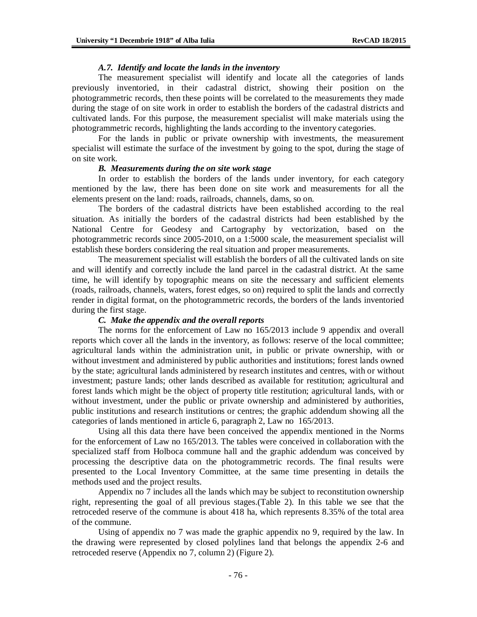#### *A.7. Identify and locate the lands in the inventory*

The measurement specialist will identify and locate all the categories of lands previously inventoried, in their cadastral district, showing their position on the photogrammetric records, then these points will be correlated to the measurements they made during the stage of on site work in order to establish the borders of the cadastral districts and cultivated lands. For this purpose, the measurement specialist will make materials using the photogrammetric records, highlighting the lands according to the inventory categories.

For the lands in public or private ownership with investments, the measurement specialist will estimate the surface of the investment by going to the spot, during the stage of on site work.

#### *B. Measurements during the on site work stage*

In order to establish the borders of the lands under inventory, for each category mentioned by the law, there has been done on site work and measurements for all the elements present on the land: roads, railroads, channels, dams, so on.

The borders of the cadastral districts have been established according to the real situation. As initially the borders of the cadastral districts had been established by the National Centre for Geodesy and Cartography by vectorization, based on the photogrammetric records since 2005-2010, on a 1:5000 scale, the measurement specialist will establish these borders considering the real situation and proper measurements.

The measurement specialist will establish the borders of all the cultivated lands on site and will identify and correctly include the land parcel in the cadastral district. At the same time, he will identify by topographic means on site the necessary and sufficient elements (roads, railroads, channels, waters, forest edges, so on) required to split the lands and correctly render in digital format, on the photogrammetric records, the borders of the lands inventoried during the first stage.

#### *C. Make the appendix and the overall reports*

The norms for the enforcement of Law no 165/2013 include 9 appendix and overall reports which cover all the lands in the inventory, as follows: reserve of the local committee; agricultural lands within the administration unit, in public or private ownership, with or without investment and administered by public authorities and institutions; forest lands owned by the state; agricultural lands administered by research institutes and centres, with or without investment; pasture lands; other lands described as available for restitution; agricultural and forest lands which might be the object of property title restitution; agricultural lands, with or without investment, under the public or private ownership and administered by authorities, public institutions and research institutions or centres; the graphic addendum showing all the categories of lands mentioned in article 6, paragraph 2, Law no 165/2013.

Using all this data there have been conceived the appendix mentioned in the Norms for the enforcement of Law no 165/2013. The tables were conceived in collaboration with the specialized staff from Holboca commune hall and the graphic addendum was conceived by processing the descriptive data on the photogrammetric records. The final results were presented to the Local Inventory Committee, at the same time presenting in details the methods used and the project results.

Appendix no 7 includes all the lands which may be subject to reconstitution ownership right, representing the goal of all previous stages.(Table 2). In this table we see that the retroceded reserve of the commune is about 418 ha, which represents 8.35% of the total area of the commune.

Using of appendix no 7 was made the graphic appendix no 9, required by the law. In the drawing were represented by closed polylines land that belongs the appendix 2-6 and retroceded reserve (Appendix no 7, column 2) (Figure 2).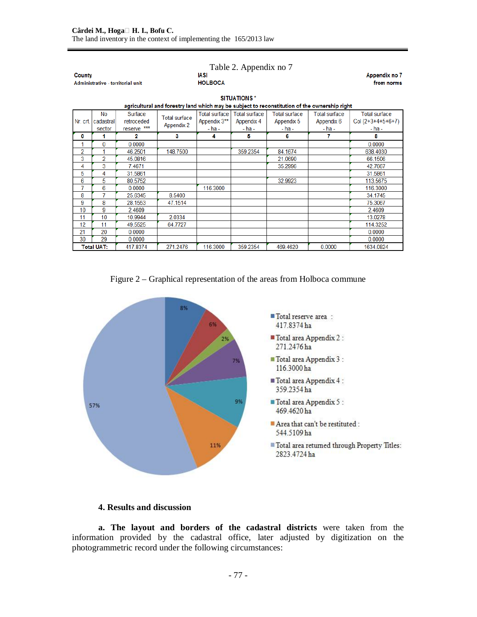| County                                                                                                             | Administrative - territorial unit |                                      |                                           | <b>Appendix no 7</b><br>from norms      |                                              |                                           |                                                  |                                                       |  |  |  |
|--------------------------------------------------------------------------------------------------------------------|-----------------------------------|--------------------------------------|-------------------------------------------|-----------------------------------------|----------------------------------------------|-------------------------------------------|--------------------------------------------------|-------------------------------------------------------|--|--|--|
| <b>SITUATIONS*</b><br>agricultural and forestry land which may be subject to reconstitution of the ownership right |                                   |                                      |                                           |                                         |                                              |                                           |                                                  |                                                       |  |  |  |
|                                                                                                                    |                                   |                                      |                                           |                                         |                                              |                                           |                                                  |                                                       |  |  |  |
| Nr. crt. I                                                                                                         | No<br>cadastral<br>sector         | Surface<br>retroceded<br>reserve *** | <b>Total surface</b><br><b>Appendix 2</b> | Total surface<br>Appendix 3**<br>- ha - | <b>Total surface</b><br>Appendix 4<br>- ha - | Total surface<br>Appendix 5<br>$-$ ha $-$ | <b>Total surface</b><br>Appendix 6<br>$-$ ha $-$ | <b>Total surface</b><br>Col $(2+3+4+5+6+7)$<br>- ha - |  |  |  |
| 0                                                                                                                  |                                   | 2                                    | 3                                         | 4                                       | 5                                            | 6                                         | 7                                                | 8                                                     |  |  |  |
| 1                                                                                                                  | 0                                 | 0.0000                               |                                           |                                         |                                              |                                           |                                                  | 0.0000                                                |  |  |  |
| 2                                                                                                                  |                                   | 46.2501                              | 148.7500                                  |                                         | 359.2354                                     | 84.1674                                   |                                                  | 638.4030                                              |  |  |  |
| 3                                                                                                                  | $\overline{2}$                    | 45.0816                              |                                           |                                         |                                              | 21.0690                                   |                                                  | 66.1506                                               |  |  |  |
| 4                                                                                                                  | 3                                 | 7.4671                               |                                           |                                         |                                              | 35.2996                                   |                                                  | 42.7667                                               |  |  |  |
| 5                                                                                                                  | 4                                 | 31.5861                              |                                           |                                         |                                              |                                           |                                                  | 31.5861                                               |  |  |  |
| 6                                                                                                                  | 5                                 | 80.5752                              |                                           |                                         |                                              | 32.9923                                   |                                                  | 113.5675                                              |  |  |  |
| 7                                                                                                                  | 6                                 | 0.0000                               |                                           | 116.3000                                |                                              |                                           |                                                  | 116.3000                                              |  |  |  |
| 8                                                                                                                  | 7                                 | 25.6345                              | 8.5400                                    |                                         |                                              |                                           |                                                  | 34.1745                                               |  |  |  |
| 9                                                                                                                  | 8                                 | 28.1553                              | 47.1514                                   |                                         |                                              |                                           |                                                  | 75.3067                                               |  |  |  |
| 10                                                                                                                 | 9                                 | 2.4609                               |                                           |                                         |                                              |                                           |                                                  | 2.4609                                                |  |  |  |
| 11                                                                                                                 | 10                                | 10.9944                              | 2.0334                                    |                                         |                                              |                                           |                                                  | 13.0278                                               |  |  |  |
| 12                                                                                                                 | 11                                | 49.5525                              | 64.7727                                   |                                         |                                              |                                           |                                                  | 114.3252                                              |  |  |  |
| 21                                                                                                                 | 20                                | 0.0000                               |                                           |                                         |                                              |                                           |                                                  | 0.0000                                                |  |  |  |
| 30                                                                                                                 | 29                                | 0.0000                               |                                           |                                         |                                              |                                           |                                                  | 0.0000                                                |  |  |  |
|                                                                                                                    | <b>Total UAT:</b>                 | 417.8374                             | 271.2476                                  | 116,3000                                | 359.2354                                     | 469.4620                                  | 0.0000                                           | 1634.0824                                             |  |  |  |

Figure 2 – Graphical representation of the areas from Holboca commune



## **4. Results and discussion**

**a. The layout and borders of the cadastral districts** were taken from the information provided by the cadastral office, later adjusted by digitization on the photogrammetric record under the following circumstances: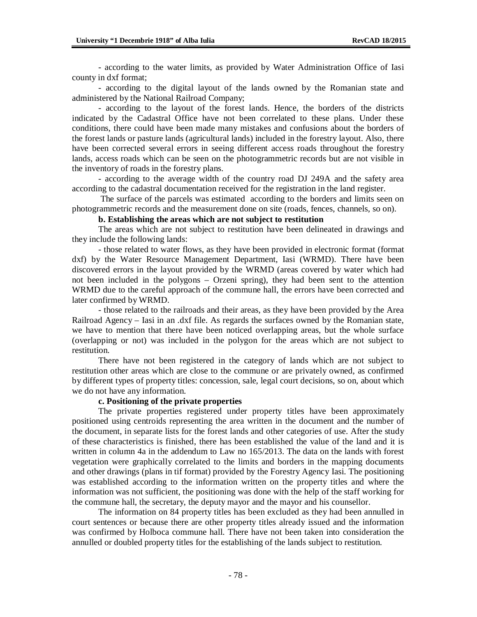- according to the water limits, as provided by Water Administration Office of Iasi county in dxf format;

- according to the digital layout of the lands owned by the Romanian state and administered by the National Railroad Company;

- according to the layout of the forest lands. Hence, the borders of the districts indicated by the Cadastral Office have not been correlated to these plans. Under these conditions, there could have been made many mistakes and confusions about the borders of the forest lands or pasture lands (agricultural lands) included in the forestry layout. Also, there have been corrected several errors in seeing different access roads throughout the forestry lands, access roads which can be seen on the photogrammetric records but are not visible in the inventory of roads in the forestry plans.

- according to the average width of the country road DJ 249A and the safety area according to the cadastral documentation received for the registration in the land register.

The surface of the parcels was estimated according to the borders and limits seen on photogrammetric records and the measurement done on site (roads, fences, channels, so on).

#### **b. Establishing the areas which are not subject to restitution**

The areas which are not subject to restitution have been delineated in drawings and they include the following lands:

- those related to water flows, as they have been provided in electronic format (format dxf) by the Water Resource Management Department, Iasi (WRMD). There have been discovered errors in the layout provided by the WRMD (areas covered by water which had not been included in the polygons – Orzeni spring), they had been sent to the attention WRMD due to the careful approach of the commune hall, the errors have been corrected and later confirmed by WRMD.

- those related to the railroads and their areas, as they have been provided by the Area Railroad Agency – Iasi in an .dxf file. As regards the surfaces owned by the Romanian state, we have to mention that there have been noticed overlapping areas, but the whole surface (overlapping or not) was included in the polygon for the areas which are not subject to restitution.

There have not been registered in the category of lands which are not subject to restitution other areas which are close to the commune or are privately owned, as confirmed by different types of property titles: concession, sale, legal court decisions, so on, about which we do not have any information.

#### **c. Positioning of the private properties**

The private properties registered under property titles have been approximately positioned using centroids representing the area written in the document and the number of the document, in separate lists for the forest lands and other categories of use. After the study of these characteristics is finished, there has been established the value of the land and it is written in column 4a in the addendum to Law no 165/2013. The data on the lands with forest vegetation were graphically correlated to the limits and borders in the mapping documents and other drawings (plans in tif format) provided by the Forestry Agency Iasi. The positioning was established according to the information written on the property titles and where the information was not sufficient, the positioning was done with the help of the staff working for the commune hall, the secretary, the deputy mayor and the mayor and his counsellor.

The information on 84 property titles has been excluded as they had been annulled in court sentences or because there are other property titles already issued and the information was confirmed by Holboca commune hall. There have not been taken into consideration the annulled or doubled property titles for the establishing of the lands subject to restitution.